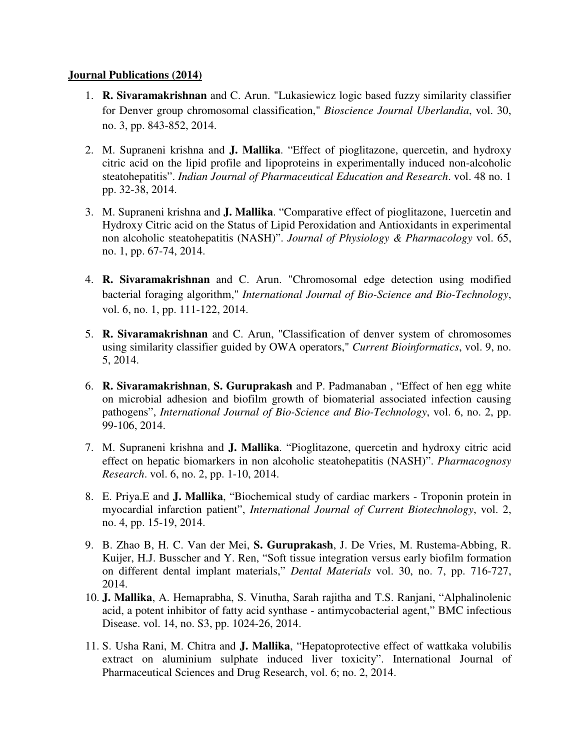## **Journal Publications (2014)**

- 1. **R. Sivaramakrishnan** and C. Arun. "Lukasiewicz logic based fuzzy similarity classifier for Denver group chromosomal classification," *Bioscience Journal Uberlandia*, vol. 30, no. 3, pp. 843-852, 2014.
- 2. M. Supraneni krishna and **J. Mallika**. "Effect of pioglitazone, quercetin, and hydroxy citric acid on the lipid profile and lipoproteins in experimentally induced non-alcoholic steatohepatitis". *Indian Journal of Pharmaceutical Education and Research*. vol. 48 no. 1 pp. 32-38, 2014.
- 3. M. Supraneni krishna and **J. Mallika**. "Comparative effect of pioglitazone, 1uercetin and Hydroxy Citric acid on the Status of Lipid Peroxidation and Antioxidants in experimental non alcoholic steatohepatitis (NASH)". *Journal of Physiology & Pharmacology* vol. 65, no. 1, pp. 67-74, 2014.
- 4. **R. Sivaramakrishnan** and C. Arun. "Chromosomal edge detection using modified bacterial foraging algorithm," *International Journal of Bio-Science and Bio-Technology*, vol. 6, no. 1, pp. 111-122, 2014.
- 5. **R. Sivaramakrishnan** and C. Arun, "Classification of denver system of chromosomes using similarity classifier guided by OWA operators," *Current Bioinformatics*, vol. 9, no. 5, 2014.
- 6. **R. Sivaramakrishnan**, **S. Guruprakash** and P. Padmanaban , "Effect of hen egg white on microbial adhesion and biofilm growth of biomaterial associated infection causing pathogens", *International Journal of Bio-Science and Bio-Technology*, vol. 6, no. 2, pp. 99-106, 2014.
- 7. M. Supraneni krishna and **J. Mallika**. "Pioglitazone, quercetin and hydroxy citric acid effect on hepatic biomarkers in non alcoholic steatohepatitis (NASH)". *Pharmacognosy Research*. vol. 6, no. 2, pp. 1-10, 2014.
- 8. E. Priya.E and **J. Mallika**, "Biochemical study of cardiac markers Troponin protein in myocardial infarction patient", *International Journal of Current Biotechnology*, vol. 2, no. 4, pp. 15-19, 2014.
- 9. B. Zhao B, H. C. Van der Mei, **S. Guruprakash**, J. De Vries, M. Rustema-Abbing, R. Kuijer, H.J. Busscher and Y. Ren, "Soft tissue integration versus early biofilm formation on different dental implant materials," *Dental Materials* vol. 30, no. 7, pp. 716-727, 2014.
- 10. **J. Mallika**, A. Hemaprabha, S. Vinutha, Sarah rajitha and T.S. Ranjani, "Alphalinolenic acid, a potent inhibitor of fatty acid synthase - antimycobacterial agent," BMC infectious Disease. vol. 14, no. S3, pp. 1024-26, 2014.
- 11. S. Usha Rani, M. Chitra and **J. Mallika**, "Hepatoprotective effect of wattkaka volubilis extract on aluminium sulphate induced liver toxicity". International Journal of Pharmaceutical Sciences and Drug Research, vol. 6; no. 2, 2014.